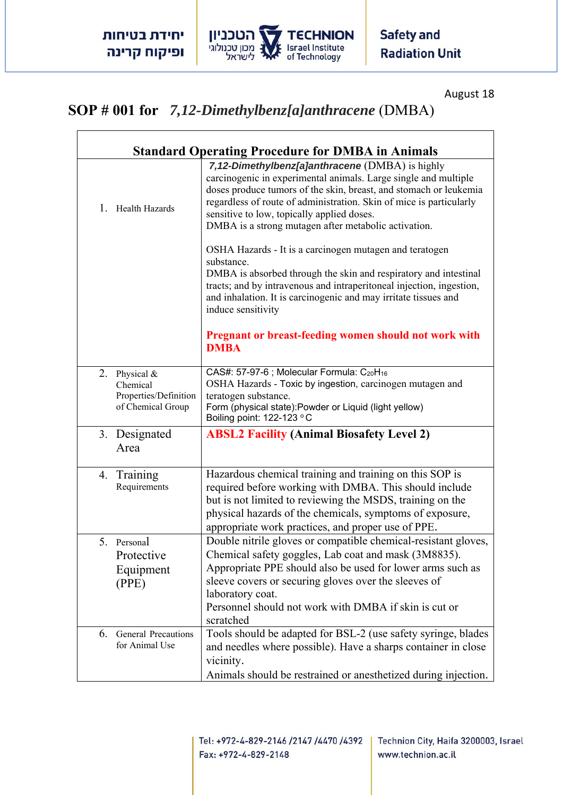

August 18

## **SOP # 001 for** *7,12-Dimethylbenz[a]anthracene* (DMBA)

| <b>Standard Operating Procedure for DMBA in Animals</b>                   |                                                                                                                                                                                                                                                                                                                                                                      |  |
|---------------------------------------------------------------------------|----------------------------------------------------------------------------------------------------------------------------------------------------------------------------------------------------------------------------------------------------------------------------------------------------------------------------------------------------------------------|--|
| 1.<br>Health Hazards                                                      | 7,12-Dimethylbenz[a]anthracene (DMBA) is highly<br>carcinogenic in experimental animals. Large single and multiple<br>doses produce tumors of the skin, breast, and stomach or leukemia<br>regardless of route of administration. Skin of mice is particularly<br>sensitive to low, topically applied doses.<br>DMBA is a strong mutagen after metabolic activation. |  |
|                                                                           | OSHA Hazards - It is a carcinogen mutagen and teratogen<br>substance.<br>DMBA is absorbed through the skin and respiratory and intestinal<br>tracts; and by intravenous and intraperitoneal injection, ingestion,<br>and inhalation. It is carcinogenic and may irritate tissues and<br>induce sensitivity                                                           |  |
|                                                                           | Pregnant or breast-feeding women should not work with<br><b>DMBA</b>                                                                                                                                                                                                                                                                                                 |  |
| 2. Physical $&$<br>Chemical<br>Properties/Definition<br>of Chemical Group | CAS#: 57-97-6 ; Molecular Formula: C <sub>20</sub> H <sub>16</sub><br>OSHA Hazards - Toxic by ingestion, carcinogen mutagen and<br>teratogen substance.<br>Form (physical state): Powder or Liquid (light yellow)<br>Boiling point: 122-123 °C                                                                                                                       |  |
| 3. Designated<br>Area                                                     | <b>ABSL2 Facility (Animal Biosafety Level 2)</b>                                                                                                                                                                                                                                                                                                                     |  |
| 4. Training<br>Requirements                                               | Hazardous chemical training and training on this SOP is<br>required before working with DMBA. This should include<br>but is not limited to reviewing the MSDS, training on the<br>physical hazards of the chemicals, symptoms of exposure,<br>appropriate work practices, and proper use of PPE.                                                                     |  |
| 5. Personal<br>Protective<br>Equipment<br>(PPE)                           | Double nitrile gloves or compatible chemical-resistant gloves,<br>Chemical safety goggles, Lab coat and mask (3M8835).<br>Appropriate PPE should also be used for lower arms such as<br>sleeve covers or securing gloves over the sleeves of<br>laboratory coat.<br>Personnel should not work with DMBA if skin is cut or<br>scratched                               |  |
| <b>General Precautions</b><br>6.<br>for Animal Use                        | Tools should be adapted for BSL-2 (use safety syringe, blades<br>and needles where possible). Have a sharps container in close<br>vicinity.<br>Animals should be restrained or anesthetized during injection.                                                                                                                                                        |  |

Technion City, Haifa 3200003, Israel www.technion.ac.il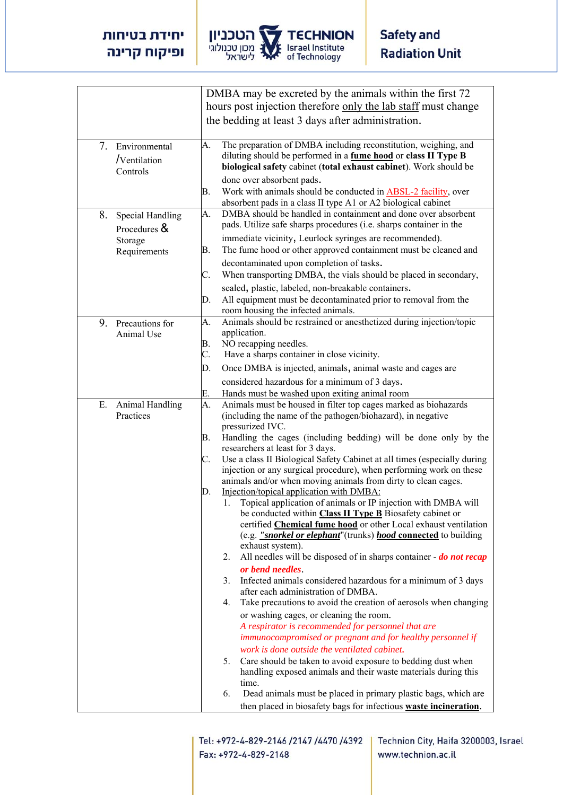

|                                               | DMBA may be excreted by the animals within the first 72                                                                                                                                                                                   |
|-----------------------------------------------|-------------------------------------------------------------------------------------------------------------------------------------------------------------------------------------------------------------------------------------------|
|                                               | hours post injection therefore only the lab staff must change                                                                                                                                                                             |
|                                               | the bedding at least 3 days after administration.                                                                                                                                                                                         |
|                                               |                                                                                                                                                                                                                                           |
| 7. Environmental<br>/Ventilation<br>Controls  | The preparation of DMBA including reconstitution, weighing, and<br>А.<br>diluting should be performed in a fume hood or class II Type B<br>biological safety cabinet (total exhaust cabinet). Work should be<br>done over absorbent pads. |
|                                               | Work with animals should be conducted in ABSL-2 facility, over<br>В.<br>absorbent pads in a class II type A1 or A2 biological cabinet                                                                                                     |
| 8.<br><b>Special Handling</b><br>Procedures & | DMBA should be handled in containment and done over absorbent<br>A.<br>pads. Utilize safe sharps procedures (i.e. sharps container in the                                                                                                 |
| Storage<br>Requirements                       | immediate vicinity, Leurlock syringes are recommended).<br>The fume hood or other approved containment must be cleaned and<br>В.                                                                                                          |
|                                               | decontaminated upon completion of tasks.<br>When transporting DMBA, the vials should be placed in secondary,<br>C.                                                                                                                        |
|                                               | sealed, plastic, labeled, non-breakable containers.<br>All equipment must be decontaminated prior to removal from the<br>D.<br>room housing the infected animals.                                                                         |
| 9. Precautions for<br>Animal Use              | Animals should be restrained or anesthetized during injection/topic<br>A.<br>application.                                                                                                                                                 |
|                                               | NO recapping needles.<br>В.                                                                                                                                                                                                               |
|                                               | C.<br>Have a sharps container in close vicinity.                                                                                                                                                                                          |
|                                               | Once DMBA is injected, animals, animal waste and cages are<br>D.                                                                                                                                                                          |
|                                               | considered hazardous for a minimum of 3 days.                                                                                                                                                                                             |
|                                               | Hands must be washed upon exiting animal room<br>E.                                                                                                                                                                                       |
| Ε.<br>Animal Handling<br>Practices            | Animals must be housed in filter top cages marked as biohazards<br>A.<br>(including the name of the pathogen/biohazard), in negative<br>pressurized IVC.                                                                                  |
|                                               | Handling the cages (including bedding) will be done only by the<br>В.<br>researchers at least for 3 days.                                                                                                                                 |
|                                               | Use a class II Biological Safety Cabinet at all times (especially during<br>C.                                                                                                                                                            |
|                                               | injection or any surgical procedure), when performing work on these<br>animals and/or when moving animals from dirty to clean cages.                                                                                                      |
|                                               | Injection/topical application with DMBA:<br>D.                                                                                                                                                                                            |
|                                               | Topical application of animals or IP injection with DMBA will<br>1.<br>be conducted within Class II Type B Biosafety cabinet or                                                                                                           |
|                                               | certified Chemical fume hood or other Local exhaust ventilation<br>(e.g. <i>"snorkel or elephant</i> "(trunks) <i>hood</i> connected to building                                                                                          |
|                                               | exhaust system).                                                                                                                                                                                                                          |
|                                               | All needles will be disposed of in sharps container - do not recap<br>2.<br>or bend needles.                                                                                                                                              |
|                                               | Infected animals considered hazardous for a minimum of 3 days<br>3.<br>after each administration of DMBA.                                                                                                                                 |
|                                               | Take precautions to avoid the creation of aerosols when changing<br>4.                                                                                                                                                                    |
|                                               | or washing cages, or cleaning the room.<br>A respirator is recommended for personnel that are<br>immunocompromised or pregnant and for healthy personnel if                                                                               |
|                                               | work is done outside the ventilated cabinet.                                                                                                                                                                                              |
|                                               | Care should be taken to avoid exposure to bedding dust when<br>5.<br>handling exposed animals and their waste materials during this<br>time.                                                                                              |
|                                               | Dead animals must be placed in primary plastic bags, which are<br>6.<br>then placed in biosafety bags for infectious waste incineration.                                                                                                  |

Tel: +972-4-829-2146 /2147 /4470 /4392 Fax: +972-4-829-2148

Technion City, Haifa 3200003, Israel www.technion.ac.il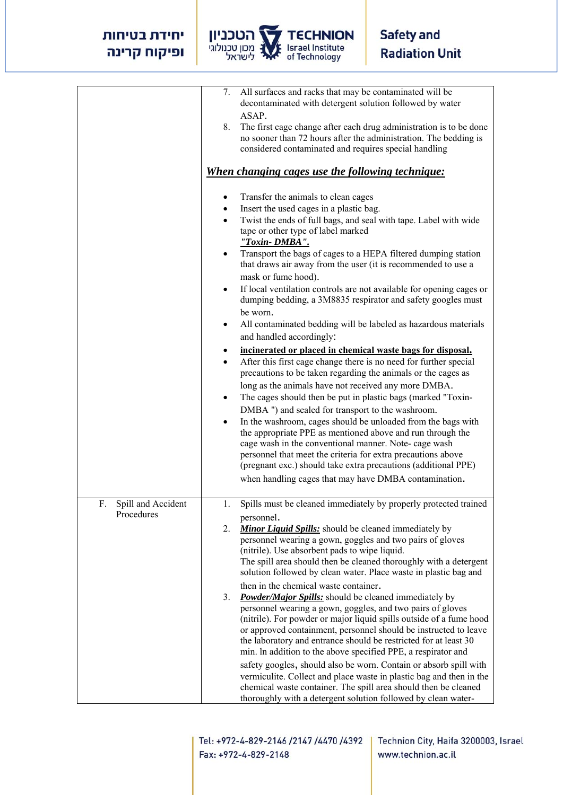## יחידת בטיחות ופיקוח קרינה



|                                        | 7. All surfaces and racks that may be contaminated will be<br>decontaminated with detergent solution followed by water<br>ASAP.                                                                                                                                                                                                                                                                                                                                                                                                                                                                                                                                                                                                                                          |
|----------------------------------------|--------------------------------------------------------------------------------------------------------------------------------------------------------------------------------------------------------------------------------------------------------------------------------------------------------------------------------------------------------------------------------------------------------------------------------------------------------------------------------------------------------------------------------------------------------------------------------------------------------------------------------------------------------------------------------------------------------------------------------------------------------------------------|
|                                        | The first cage change after each drug administration is to be done<br>8.<br>no sooner than 72 hours after the administration. The bedding is<br>considered contaminated and requires special handling                                                                                                                                                                                                                                                                                                                                                                                                                                                                                                                                                                    |
|                                        | <u>When changing cages use the following technique:</u>                                                                                                                                                                                                                                                                                                                                                                                                                                                                                                                                                                                                                                                                                                                  |
|                                        | Transfer the animals to clean cages<br>٠<br>Insert the used cages in a plastic bag.<br>Twist the ends of full bags, and seal with tape. Label with wide<br>٠<br>tape or other type of label marked<br>"Toxin-DMBA".<br>Transport the bags of cages to a HEPA filtered dumping station<br>that draws air away from the user (it is recommended to use a<br>mask or fume hood).<br>If local ventilation controls are not available for opening cages or<br>dumping bedding, a 3M8835 respirator and safety googles must<br>be worn.<br>All contaminated bedding will be labeled as hazardous materials<br>and handled accordingly:<br>incinerated or placed in chemical waste bags for disposal.<br>After this first cage change there is no need for further special<br>٠ |
|                                        | precautions to be taken regarding the animals or the cages as<br>long as the animals have not received any more DMBA.<br>The cages should then be put in plastic bags (marked "Toxin-<br>٠<br>DMBA ") and sealed for transport to the washroom.<br>In the washroom, cages should be unloaded from the bags with<br>the appropriate PPE as mentioned above and run through the<br>cage wash in the conventional manner. Note- cage wash<br>personnel that meet the criteria for extra precautions above<br>(pregnant exc.) should take extra precautions (additional PPE)<br>when handling cages that may have DMBA contamination.                                                                                                                                        |
| Spill and Accident<br>F.<br>Procedures | Spills must be cleaned immediately by properly protected trained<br>personnel.<br>2.<br><b>Minor Liquid Spills:</b> should be cleaned immediately by<br>personnel wearing a gown, goggles and two pairs of gloves<br>(nitrile). Use absorbent pads to wipe liquid.<br>The spill area should then be cleaned thoroughly with a detergent<br>solution followed by clean water. Place waste in plastic bag and                                                                                                                                                                                                                                                                                                                                                              |
|                                        | then in the chemical waste container.<br><b>Powder/Major Spills:</b> should be cleaned immediately by<br>3.<br>personnel wearing a gown, goggles, and two pairs of gloves<br>(nitrile). For powder or major liquid spills outside of a fume hood<br>or approved containment, personnel should be instructed to leave<br>the laboratory and entrance should be restricted for at least 30<br>min. In addition to the above specified PPE, a respirator and<br>safety googles, should also be worn. Contain or absorb spill with<br>vermiculite. Collect and place waste in plastic bag and then in the<br>chemical waste container. The spill area should then be cleaned<br>thoroughly with a detergent solution followed by clean water-                                |

Tel: +972-4-829-2146 /2147 /4470 /4392 Fax: +972-4-829-2148

Technion City, Haifa 3200003, Israel www.technion.ac.il